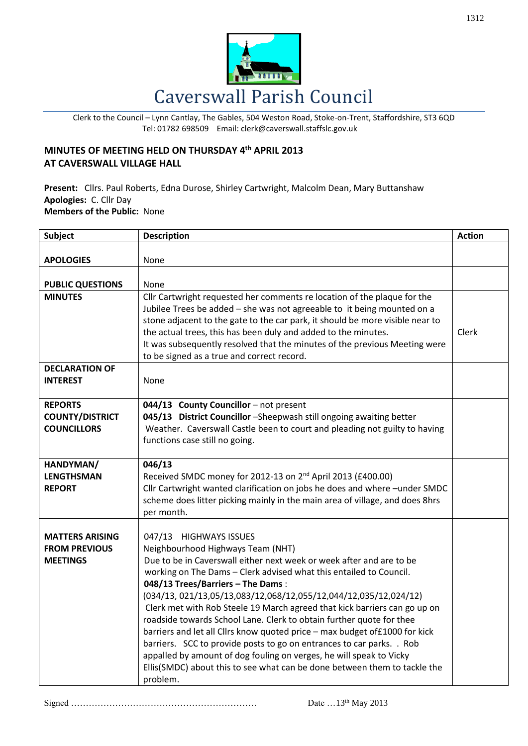

Clerk to the Council – Lynn Cantlay, The Gables, 504 Weston Road, Stoke-on-Trent, Staffordshire, ST3 6QD Tel: 01782 698509 Email: clerk@caverswall.staffslc.gov.uk

## **MINUTES OF MEETING HELD ON THURSDAY 4 th APRIL 2013 AT CAVERSWALL VILLAGE HALL**

**Present:** Cllrs. Paul Roberts, Edna Durose, Shirley Cartwright, Malcolm Dean, Mary Buttanshaw **Apologies:** C. Cllr Day **Members of the Public:** None

| <b>Subject</b>                                                    | <b>Description</b>                                                                                                                                                                                                                                                                                                                                                                                                                                                                                                                                                                                                                                                                                                                                                                                        | <b>Action</b> |
|-------------------------------------------------------------------|-----------------------------------------------------------------------------------------------------------------------------------------------------------------------------------------------------------------------------------------------------------------------------------------------------------------------------------------------------------------------------------------------------------------------------------------------------------------------------------------------------------------------------------------------------------------------------------------------------------------------------------------------------------------------------------------------------------------------------------------------------------------------------------------------------------|---------------|
| <b>APOLOGIES</b>                                                  | None                                                                                                                                                                                                                                                                                                                                                                                                                                                                                                                                                                                                                                                                                                                                                                                                      |               |
| <b>PUBLIC QUESTIONS</b>                                           | None                                                                                                                                                                                                                                                                                                                                                                                                                                                                                                                                                                                                                                                                                                                                                                                                      |               |
| <b>MINUTES</b>                                                    | Cllr Cartwright requested her comments re location of the plaque for the<br>Jubilee Trees be added - she was not agreeable to it being mounted on a<br>stone adjacent to the gate to the car park, it should be more visible near to<br>the actual trees, this has been duly and added to the minutes.<br>It was subsequently resolved that the minutes of the previous Meeting were<br>to be signed as a true and correct record.                                                                                                                                                                                                                                                                                                                                                                        | Clerk         |
| <b>DECLARATION OF</b><br><b>INTEREST</b>                          | None                                                                                                                                                                                                                                                                                                                                                                                                                                                                                                                                                                                                                                                                                                                                                                                                      |               |
| <b>REPORTS</b><br><b>COUNTY/DISTRICT</b><br><b>COUNCILLORS</b>    | 044/13 County Councillor - not present<br>045/13 District Councillor -Sheepwash still ongoing awaiting better<br>Weather. Caverswall Castle been to court and pleading not guilty to having<br>functions case still no going.                                                                                                                                                                                                                                                                                                                                                                                                                                                                                                                                                                             |               |
| HANDYMAN/<br><b>LENGTHSMAN</b><br><b>REPORT</b>                   | 046/13<br>Received SMDC money for 2012-13 on 2 <sup>nd</sup> April 2013 (£400.00)<br>Cllr Cartwright wanted clarification on jobs he does and where -under SMDC<br>scheme does litter picking mainly in the main area of village, and does 8hrs<br>per month.                                                                                                                                                                                                                                                                                                                                                                                                                                                                                                                                             |               |
| <b>MATTERS ARISING</b><br><b>FROM PREVIOUS</b><br><b>MEETINGS</b> | <b>HIGHWAYS ISSUES</b><br>047/13<br>Neighbourhood Highways Team (NHT)<br>Due to be in Caverswall either next week or week after and are to be<br>working on The Dams - Clerk advised what this entailed to Council.<br>048/13 Trees/Barriers - The Dams:<br>(034/13, 021/13,05/13,083/12,068/12,055/12,044/12,035/12,024/12)<br>Clerk met with Rob Steele 19 March agreed that kick barriers can go up on<br>roadside towards School Lane. Clerk to obtain further quote for thee<br>barriers and let all Cllrs know quoted price - max budget of £1000 for kick<br>barriers. SCC to provide posts to go on entrances to car parks. . Rob<br>appalled by amount of dog fouling on verges, he will speak to Vicky<br>Ellis(SMDC) about this to see what can be done between them to tackle the<br>problem. |               |

Signed ……………………………………………………… Date …13th May 2013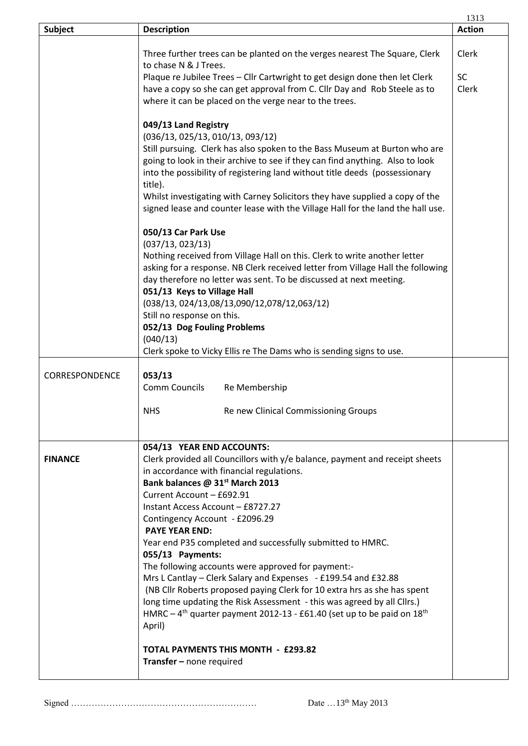|                |                                                                                                                                                                                                                                                                                                                                                                                                                                                                                                                                                                                                                                                                                                                                                                                                                                                  | 1313          |
|----------------|--------------------------------------------------------------------------------------------------------------------------------------------------------------------------------------------------------------------------------------------------------------------------------------------------------------------------------------------------------------------------------------------------------------------------------------------------------------------------------------------------------------------------------------------------------------------------------------------------------------------------------------------------------------------------------------------------------------------------------------------------------------------------------------------------------------------------------------------------|---------------|
| Subject        | <b>Description</b>                                                                                                                                                                                                                                                                                                                                                                                                                                                                                                                                                                                                                                                                                                                                                                                                                               | <b>Action</b> |
|                | Three further trees can be planted on the verges nearest The Square, Clerk<br>to chase N & J Trees.                                                                                                                                                                                                                                                                                                                                                                                                                                                                                                                                                                                                                                                                                                                                              | Clerk         |
|                | Plaque re Jubilee Trees - Cllr Cartwright to get design done then let Clerk<br>have a copy so she can get approval from C. Cllr Day and Rob Steele as to<br>where it can be placed on the verge near to the trees.                                                                                                                                                                                                                                                                                                                                                                                                                                                                                                                                                                                                                               | SC<br>Clerk   |
|                | 049/13 Land Registry<br>(036/13, 025/13, 010/13, 093/12)<br>Still pursuing. Clerk has also spoken to the Bass Museum at Burton who are<br>going to look in their archive to see if they can find anything. Also to look<br>into the possibility of registering land without title deeds (possessionary<br>title).<br>Whilst investigating with Carney Solicitors they have supplied a copy of the<br>signed lease and counter lease with the Village Hall for the land the hall use.                                                                                                                                                                                                                                                                                                                                                             |               |
|                | 050/13 Car Park Use<br>(037/13, 023/13)<br>Nothing received from Village Hall on this. Clerk to write another letter<br>asking for a response. NB Clerk received letter from Village Hall the following<br>day therefore no letter was sent. To be discussed at next meeting.<br>051/13 Keys to Village Hall<br>(038/13, 024/13,08/13,090/12,078/12,063/12)<br>Still no response on this.<br>052/13 Dog Fouling Problems<br>(040/13)<br>Clerk spoke to Vicky Ellis re The Dams who is sending signs to use.                                                                                                                                                                                                                                                                                                                                      |               |
| CORRESPONDENCE | 053/13<br>Comm Councils<br>Re Membership                                                                                                                                                                                                                                                                                                                                                                                                                                                                                                                                                                                                                                                                                                                                                                                                         |               |
|                | Re new Clinical Commissioning Groups<br><b>NHS</b>                                                                                                                                                                                                                                                                                                                                                                                                                                                                                                                                                                                                                                                                                                                                                                                               |               |
| <b>FINANCE</b> | 054/13 YEAR END ACCOUNTS:<br>Clerk provided all Councillors with y/e balance, payment and receipt sheets<br>in accordance with financial regulations.<br>Bank balances @ 31st March 2013<br>Current Account - £692.91<br>Instant Access Account - £8727.27<br>Contingency Account - £2096.29<br><b>PAYE YEAR END:</b><br>Year end P35 completed and successfully submitted to HMRC.<br>055/13 Payments:<br>The following accounts were approved for payment:-<br>Mrs L Cantlay - Clerk Salary and Expenses - £199.54 and £32.88<br>(NB Cllr Roberts proposed paying Clerk for 10 extra hrs as she has spent<br>long time updating the Risk Assessment - this was agreed by all Cllrs.)<br>HMRC - 4 <sup>th</sup> quarter payment 2012-13 - £61.40 (set up to be paid on 18 <sup>th</sup><br>April)<br><b>TOTAL PAYMENTS THIS MONTH - £293.82</b> |               |
|                | Transfer - none required                                                                                                                                                                                                                                                                                                                                                                                                                                                                                                                                                                                                                                                                                                                                                                                                                         |               |

Signed ……………………………………………………… Date …13th May 2013